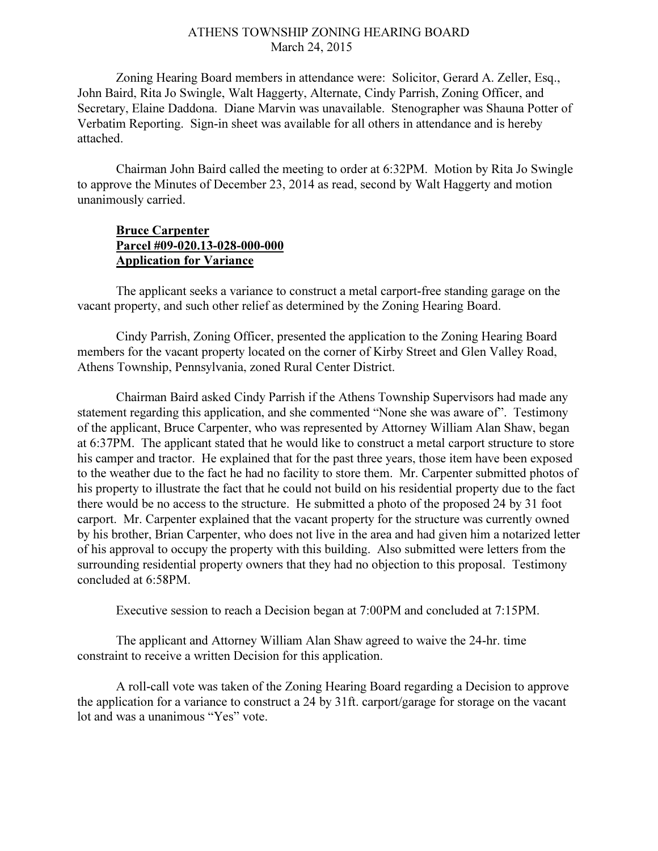## ATHENS TOWNSHIP ZONING HEARING BOARD March 24, 2015

Zoning Hearing Board members in attendance were: Solicitor, Gerard A. Zeller, Esq., John Baird, Rita Jo Swingle, Walt Haggerty, Alternate, Cindy Parrish, Zoning Officer, and Secretary, Elaine Daddona. Diane Marvin was unavailable. Stenographer was Shauna Potter of Verbatim Reporting. Sign-in sheet was available for all others in attendance and is hereby attached.

Chairman John Baird called the meeting to order at 6:32PM. Motion by Rita Jo Swingle to approve the Minutes of December 23, 2014 as read, second by Walt Haggerty and motion unanimously carried.

## **Bruce Carpenter** Parcel #09-020.13-028-000-000 Application for Variance

 The applicant seeks a variance to construct a metal carport-free standing garage on the vacant property, and such other relief as determined by the Zoning Hearing Board.

 Cindy Parrish, Zoning Officer, presented the application to the Zoning Hearing Board members for the vacant property located on the corner of Kirby Street and Glen Valley Road, Athens Township, Pennsylvania, zoned Rural Center District.

Chairman Baird asked Cindy Parrish if the Athens Township Supervisors had made any statement regarding this application, and she commented "None she was aware of". Testimony of the applicant, Bruce Carpenter, who was represented by Attorney William Alan Shaw, began at 6:37PM. The applicant stated that he would like to construct a metal carport structure to store his camper and tractor. He explained that for the past three years, those item have been exposed to the weather due to the fact he had no facility to store them. Mr. Carpenter submitted photos of his property to illustrate the fact that he could not build on his residential property due to the fact there would be no access to the structure. He submitted a photo of the proposed 24 by 31 foot carport. Mr. Carpenter explained that the vacant property for the structure was currently owned by his brother, Brian Carpenter, who does not live in the area and had given him a notarized letter of his approval to occupy the property with this building. Also submitted were letters from the surrounding residential property owners that they had no objection to this proposal. Testimony concluded at 6:58PM.

Executive session to reach a Decision began at 7:00PM and concluded at 7:15PM.

The applicant and Attorney William Alan Shaw agreed to waive the 24-hr. time constraint to receive a written Decision for this application.

A roll-call vote was taken of the Zoning Hearing Board regarding a Decision to approve the application for a variance to construct a 24 by 31ft. carport/garage for storage on the vacant lot and was a unanimous "Yes" vote.